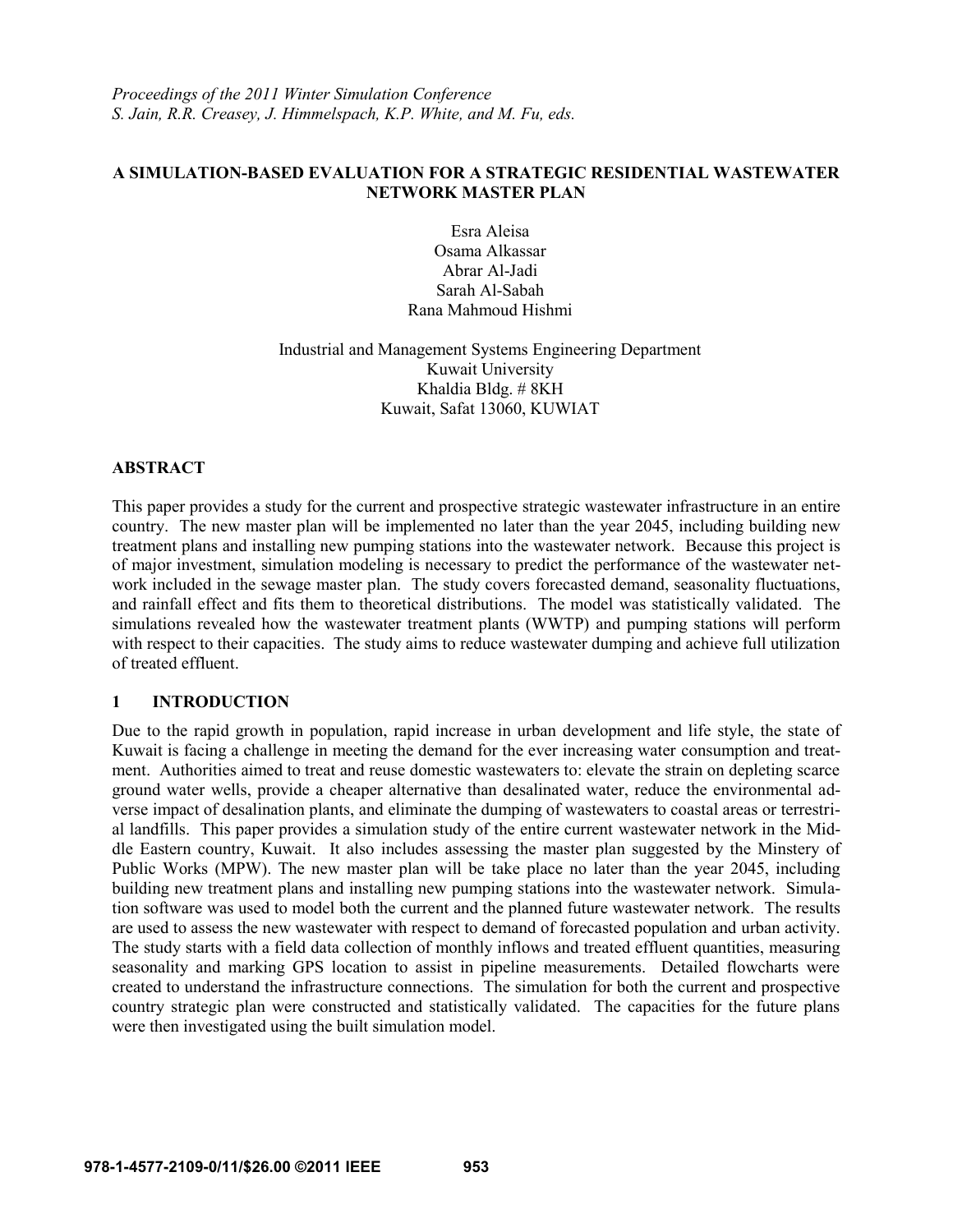*Proceedings of the 2011 Winter Simulation Conference S. Jain, R.R. Creasey, J. Himmelspach, K.P. White, and M. Fu, eds.*

## **A SIMULATION-BASED EVALUATION FOR A STRATEGIC RESIDENTIAL WASTEWATER NETWORK MASTER PLAN**

Esra Aleisa Osama Alkassar Abrar Al-Jadi Sarah Al-Sabah Rana Mahmoud Hishmi

Industrial and Management Systems Engineering Department Kuwait University Khaldia Bldg. # 8KH Kuwait, Safat 13060, KUWIAT

#### **ABSTRACT**

This paper provides a study for the current and prospective strategic wastewater infrastructure in an entire country. The new master plan will be implemented no later than the year 2045, including building new treatment plans and installing new pumping stations into the wastewater network. Because this project is of major investment, simulation modeling is necessary to predict the performance of the wastewater network included in the sewage master plan. The study covers forecasted demand, seasonality fluctuations, and rainfall effect and fits them to theoretical distributions. The model was statistically validated. The simulations revealed how the wastewater treatment plants (WWTP) and pumping stations will perform with respect to their capacities. The study aims to reduce wastewater dumping and achieve full utilization of treated effluent.

## **1 INTRODUCTION**

Due to the rapid growth in population, rapid increase in urban development and life style, the state of Kuwait is facing a challenge in meeting the demand for the ever increasing water consumption and treatment. Authorities aimed to treat and reuse domestic wastewaters to: elevate the strain on depleting scarce ground water wells, provide a cheaper alternative than desalinated water, reduce the environmental adverse impact of desalination plants, and eliminate the dumping of wastewaters to coastal areas or terrestrial landfills. This paper provides a simulation study of the entire current wastewater network in the Middle Eastern country, Kuwait. It also includes assessing the master plan suggested by the Minstery of Public Works (MPW). The new master plan will be take place no later than the year 2045, including building new treatment plans and installing new pumping stations into the wastewater network. Simulation software was used to model both the current and the planned future wastewater network. The results are used to assess the new wastewater with respect to demand of forecasted population and urban activity. The study starts with a field data collection of monthly inflows and treated effluent quantities, measuring seasonality and marking GPS location to assist in pipeline measurements. Detailed flowcharts were created to understand the infrastructure connections. The simulation for both the current and prospective country strategic plan were constructed and statistically validated. The capacities for the future plans were then investigated using the built simulation model.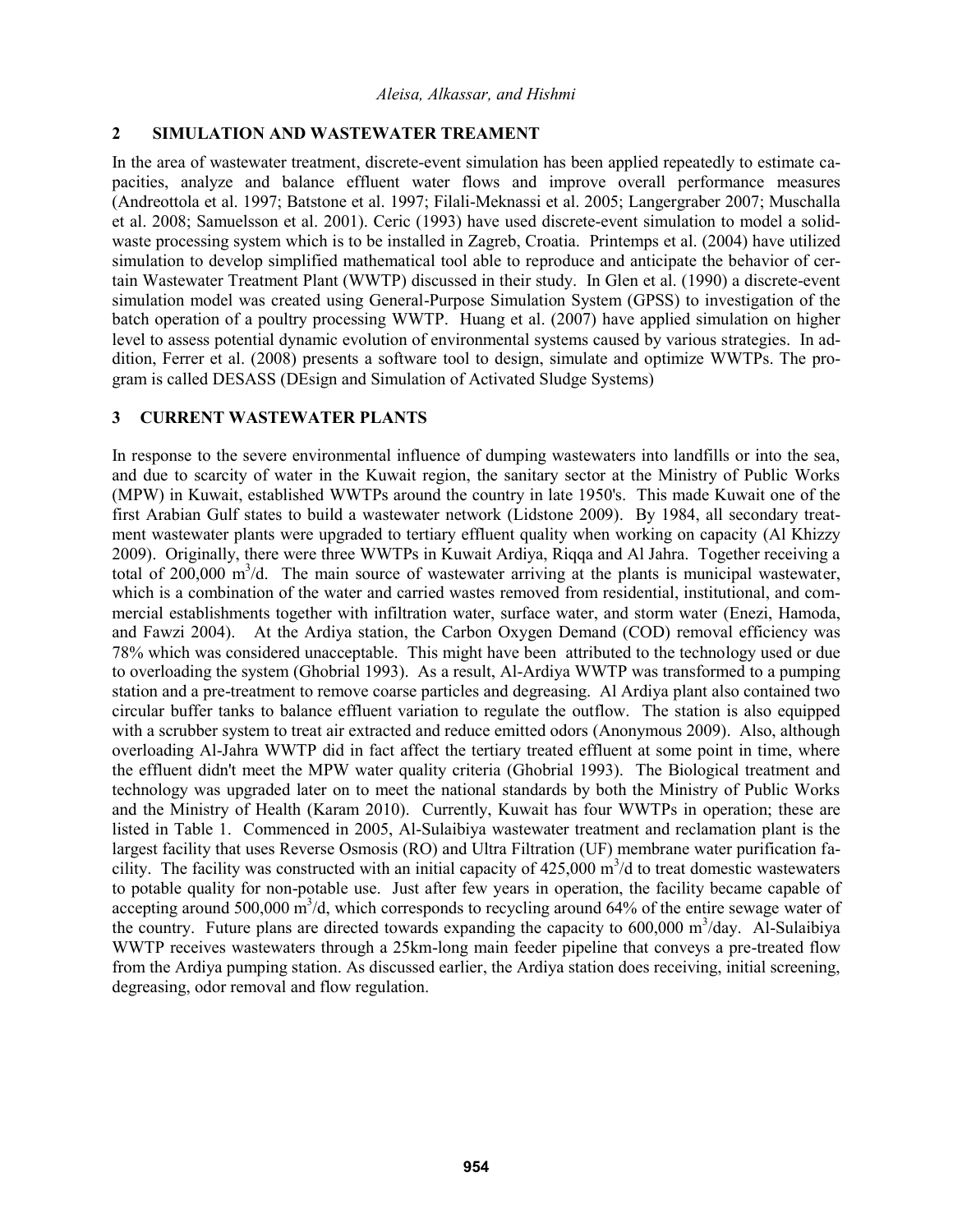## **2 SIMULATION AND WASTEWATER TREAMENT**

In the area of wastewater treatment, discrete-event simulation has been applied repeatedly to estimate capacities, analyze and balance effluent water flows and improve overall performance measures (Andreottola et al. 1997; Batstone et al. 1997; Filali-Meknassi et al. 2005; Langergraber 2007; Muschalla et al. 2008; Samuelsson et al. 2001). Ceric (1993) have used discrete-event simulation to model a solidwaste processing system which is to be installed in Zagreb, Croatia. Printemps et al. (2004) have utilized simulation to develop simplified mathematical tool able to reproduce and anticipate the behavior of certain Wastewater Treatment Plant (WWTP) discussed in their study. In Glen et al. (1990) a discrete-event simulation model was created using General-Purpose Simulation System (GPSS) to investigation of the batch operation of a poultry processing WWTP. Huang et al. (2007) have applied simulation on higher level to assess potential dynamic evolution of environmental systems caused by various strategies. In addition, Ferrer et al. (2008) presents a software tool to design, simulate and optimize WWTPs. The program is called DESASS (DEsign and Simulation of Activated Sludge Systems)

### **3 CURRENT WASTEWATER PLANTS**

In response to the severe environmental influence of dumping wastewaters into landfills or into the sea, and due to scarcity of water in the Kuwait region, the sanitary sector at the Ministry of Public Works (MPW) in Kuwait, established WWTPs around the country in late 1950's. This made Kuwait one of the first Arabian Gulf states to build a wastewater network (Lidstone 2009). By 1984, all secondary treatment wastewater plants were upgraded to tertiary effluent quality when working on capacity (Al Khizzy 2009). Originally, there were three WWTPs in Kuwait Ardiya, Riqqa and Al Jahra. Together receiving a total of 200,000  $\text{m}^3$ /d. The main source of wastewater arriving at the plants is municipal wastewater, which is a combination of the water and carried wastes removed from residential, institutional, and commercial establishments together with infiltration water, surface water, and storm water (Enezi, Hamoda, and Fawzi 2004). At the Ardiya station, the Carbon Oxygen Demand (COD) removal efficiency was 78% which was considered unacceptable. This might have been attributed to the technology used or due to overloading the system (Ghobrial 1993). As a result, Al-Ardiya WWTP was transformed to a pumping station and a pre-treatment to remove coarse particles and degreasing. Al Ardiya plant also contained two circular buffer tanks to balance effluent variation to regulate the outflow. The station is also equipped with a scrubber system to treat air extracted and reduce emitted odors (Anonymous 2009). Also, although overloading Al-Jahra WWTP did in fact affect the tertiary treated effluent at some point in time, where the effluent didn't meet the MPW water quality criteria (Ghobrial 1993). The Biological treatment and technology was upgraded later on to meet the national standards by both the Ministry of Public Works and the Ministry of Health (Karam 2010). Currently, Kuwait has four WWTPs in operation; these are listed in Table 1. Commenced in 2005, Al-Sulaibiya wastewater treatment and reclamation plant is the largest facility that uses Reverse Osmosis (RO) and Ultra Filtration (UF) membrane water purification facility. The facility was constructed with an initial capacity of  $425,000 \text{ m}^3/\text{d}$  to treat domestic wastewaters to potable quality for non-potable use. Just after few years in operation, the facility became capable of accepting around 500,000  $\mathrm{m}^3$ /d, which corresponds to recycling around 64% of the entire sewage water of the country. Future plans are directed towards expanding the capacity to 600,000 m<sup>3</sup>/day. Al-Sulaibiya WWTP receives wastewaters through a 25km-long main feeder pipeline that conveys a pre-treated flow from the Ardiya pumping station. As discussed earlier, the Ardiya station does receiving, initial screening, degreasing, odor removal and flow regulation.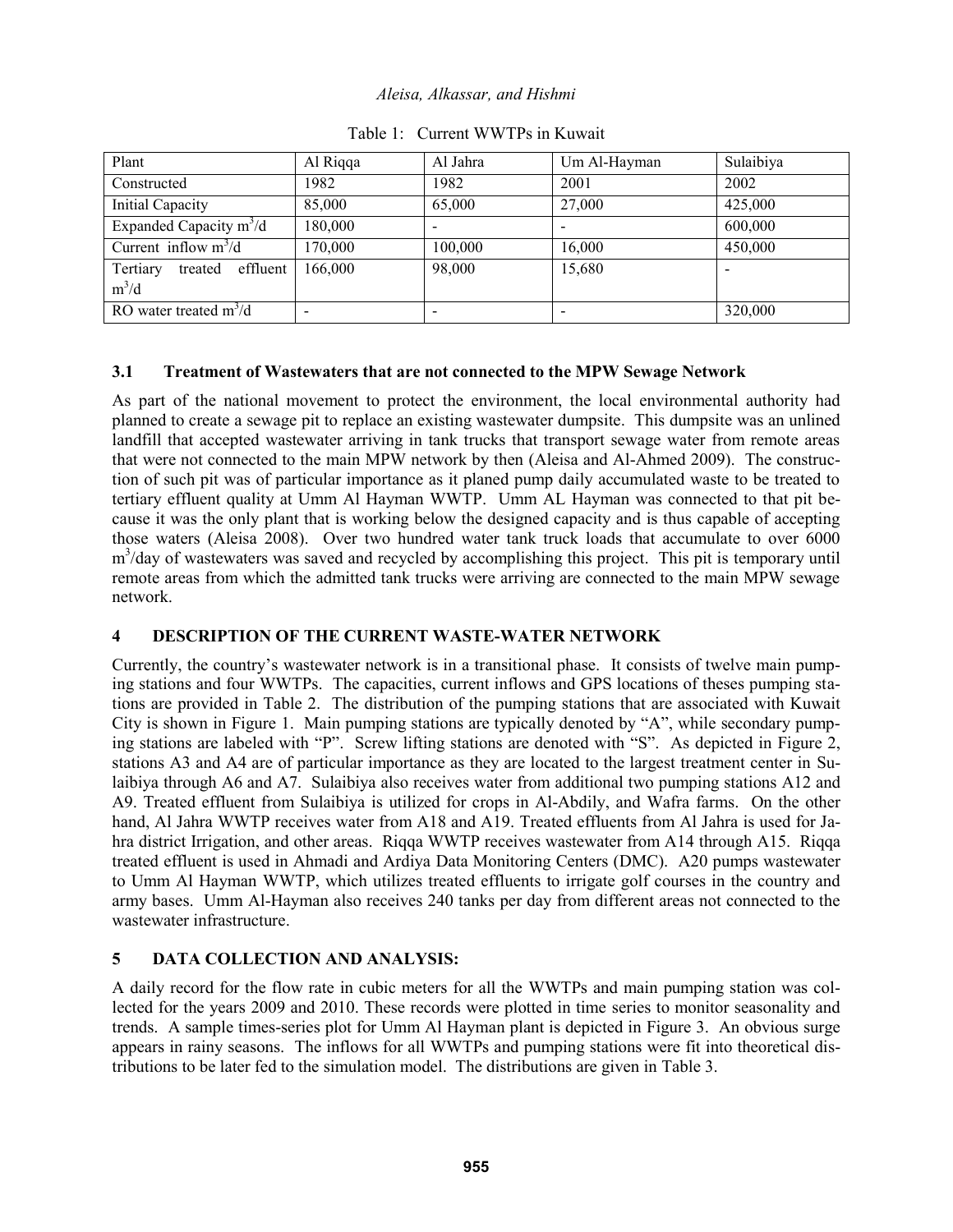| Plant                                      | Al Riqqa | Al Jahra | Um Al-Hayman | Sulaibiya |
|--------------------------------------------|----------|----------|--------------|-----------|
| Constructed                                | 1982.    | 1982     | 2001         | 2002      |
| <b>Initial Capacity</b>                    | 85,000   | 65,000   | 27,000       | 425,000   |
| Expanded Capacity $m^3/d$                  | 180,000  |          |              | 600,000   |
| Current inflow $m^3/d$                     | 170,000  | 100,000  | 16,000       | 450,000   |
| Tertiary<br>effluent<br>treated<br>$m^3/d$ | 166,000  | 98,000   | 15,680       |           |
| RO water treated $m^3/d$                   |          |          |              | 320,000   |

Table 1: Current WWTPs in Kuwait

# **3.1 Treatment of Wastewaters that are not connected to the MPW Sewage Network**

As part of the national movement to protect the environment, the local environmental authority had planned to create a sewage pit to replace an existing wastewater dumpsite. This dumpsite was an unlined landfill that accepted wastewater arriving in tank trucks that transport sewage water from remote areas that were not connected to the main MPW network by then (Aleisa and Al-Ahmed 2009). The construction of such pit was of particular importance as it planed pump daily accumulated waste to be treated to tertiary effluent quality at Umm Al Hayman WWTP. Umm AL Hayman was connected to that pit because it was the only plant that is working below the designed capacity and is thus capable of accepting those waters (Aleisa 2008). Over two hundred water tank truck loads that accumulate to over 6000 m<sup>3</sup>/day of wastewaters was saved and recycled by accomplishing this project. This pit is temporary until remote areas from which the admitted tank trucks were arriving are connected to the main MPW sewage network.

# **4 DESCRIPTION OF THE CURRENT WASTE-WATER NETWORK**

Currently, the country's wastewater network is in a transitional phase. It consists of twelve main pumping stations and four WWTPs. The capacities, current inflows and GPS locations of theses pumping stations are provided in Table 2. The distribution of the pumping stations that are associated with Kuwait City is shown in Figure 1. Main pumping stations are typically denoted by "A", while secondary pumping stations are labeled with "P". Screw lifting stations are denoted with "S". As depicted in Figure 2, stations A3 and A4 are of particular importance as they are located to the largest treatment center in Sulaibiya through A6 and A7. Sulaibiya also receives water from additional two pumping stations A12 and A9. Treated effluent from Sulaibiya is utilized for crops in Al-Abdily, and Wafra farms. On the other hand, Al Jahra WWTP receives water from A18 and A19. Treated effluents from Al Jahra is used for Jahra district Irrigation, and other areas. Riqqa WWTP receives wastewater from A14 through A15. Riqqa treated effluent is used in Ahmadi and Ardiya Data Monitoring Centers (DMC). A20 pumps wastewater to Umm Al Hayman WWTP, which utilizes treated effluents to irrigate golf courses in the country and army bases. Umm Al-Hayman also receives 240 tanks per day from different areas not connected to the wastewater infrastructure.

# **5 DATA COLLECTION AND ANALYSIS:**

A daily record for the flow rate in cubic meters for all the WWTPs and main pumping station was collected for the years 2009 and 2010. These records were plotted in time series to monitor seasonality and trends. A sample times-series plot for Umm Al Hayman plant is depicted in Figure 3. An obvious surge appears in rainy seasons. The inflows for all WWTPs and pumping stations were fit into theoretical distributions to be later fed to the simulation model. The distributions are given in Table 3.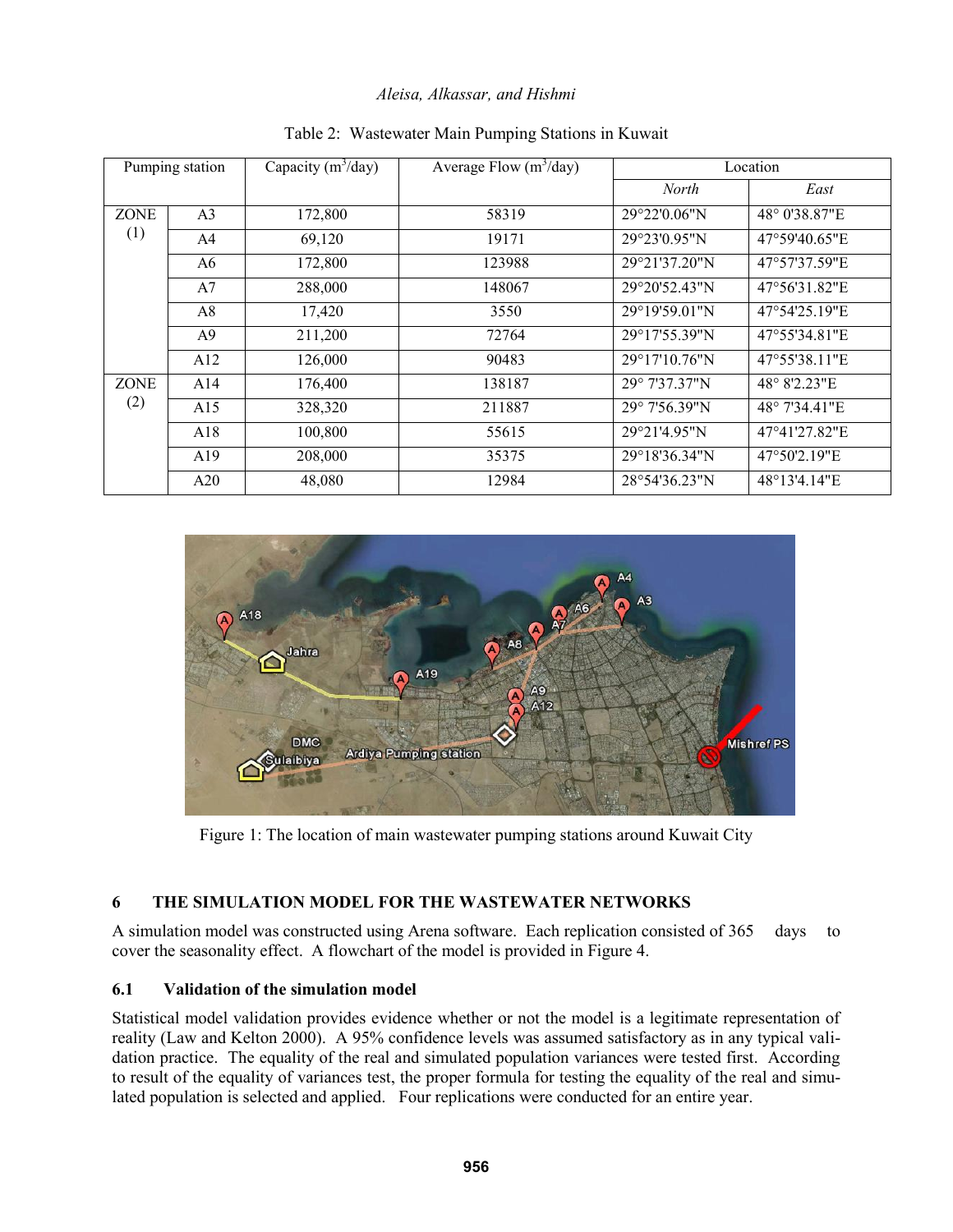| Pumping station    |                | Capacity $(m^3/day)$ | Average Flow $(m^3/day)$ | Location      |               |
|--------------------|----------------|----------------------|--------------------------|---------------|---------------|
|                    |                |                      |                          | <b>North</b>  | East          |
| <b>ZONE</b><br>(1) | A <sub>3</sub> | 172,800              | 58319                    | 29°22'0.06"N  | 48° 0'38.87"E |
|                    | A <sub>4</sub> | 69,120               | 19171                    | 29°23'0.95"N  | 47°59'40.65"E |
|                    | A6             | 172,800              | 123988                   | 29°21'37.20"N | 47°57'37.59"E |
|                    | A7             | 288,000              | 148067                   | 29°20'52.43"N | 47°56'31.82"E |
|                    | A8             | 17,420               | 3550                     | 29°19'59.01"N | 47°54'25.19"E |
|                    | A <sup>9</sup> | 211,200              | 72764                    | 29°17'55.39"N | 47°55'34.81"E |
|                    | A12            | 126,000              | 90483                    | 29°17'10.76"N | 47°55'38.11"E |
| <b>ZONE</b><br>(2) | A14            | 176,400              | 138187                   | 29° 7'37.37"N | 48° 8'2.23"E  |
|                    | A15            | 328,320              | 211887                   | 29° 7'56.39"N | 48° 7'34.41"E |
|                    | A18            | 100,800              | 55615                    | 29°21'4.95"N  | 47°41'27.82"E |
|                    | A19            | 208,000              | 35375                    | 29°18'36.34"N | 47°50'2.19"E  |
|                    | A20            | 48,080               | 12984                    | 28°54'36.23"N | 48°13'4.14"E  |

Table 2: Wastewater Main Pumping Stations in Kuwait



Figure 1: The location of main wastewater pumping stations around Kuwait City

# **6 THE SIMULATION MODEL FOR THE WASTEWATER NETWORKS**

A simulation model was constructed using Arena software. Each replication consisted of 365 days to cover the seasonality effect. A flowchart of the model is provided in Figure 4.

# **6.1 Validation of the simulation model**

Statistical model validation provides evidence whether or not the model is a legitimate representation of reality (Law and Kelton 2000). A 95% confidence levels was assumed satisfactory as in any typical validation practice. The equality of the real and simulated population variances were tested first. According to result of the equality of variances test, the proper formula for testing the equality of the real and simulated population is selected and applied. Four replications were conducted for an entire year.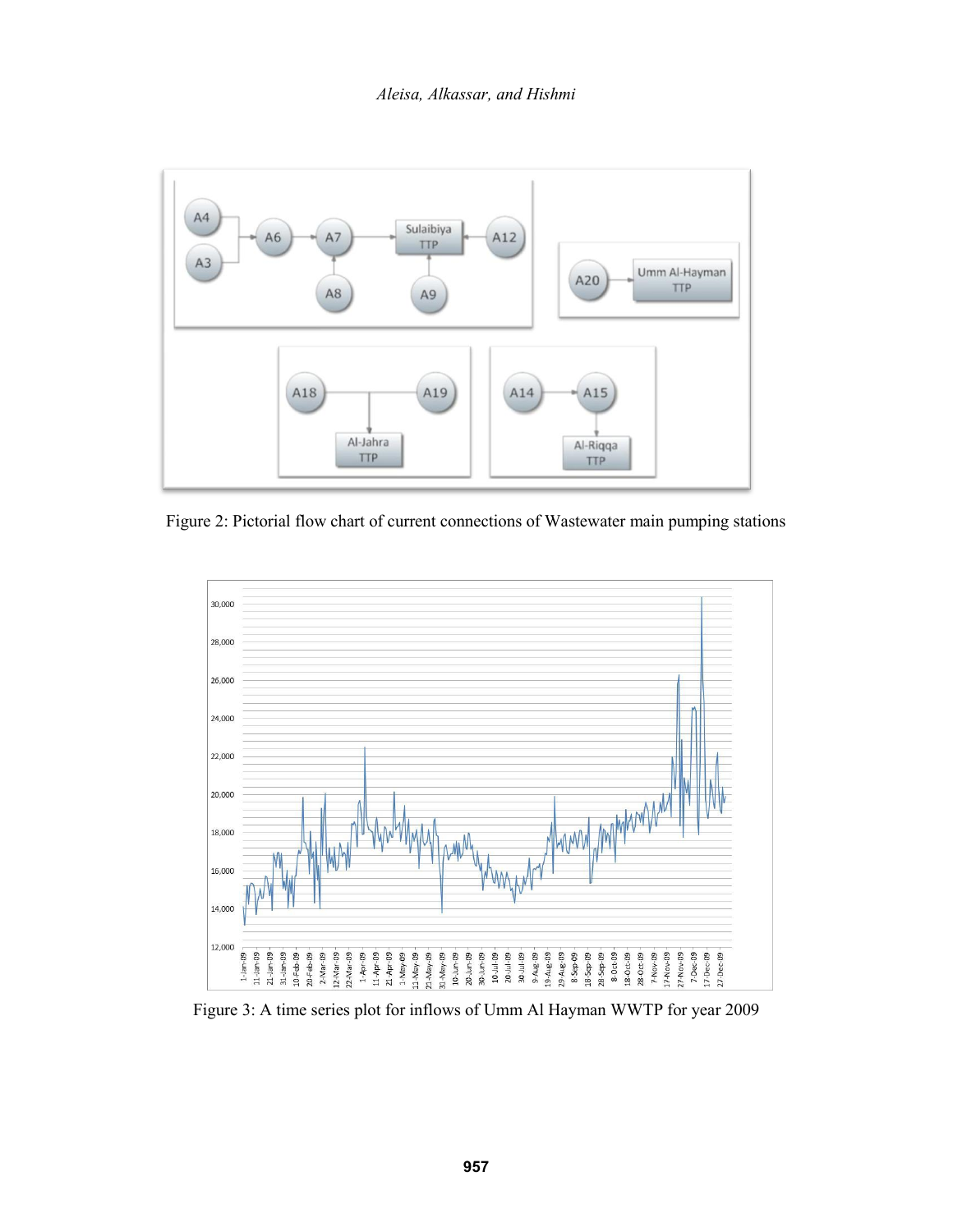

Figure 2: Pictorial flow chart of current connections of Wastewater main pumping stations



Figure 3: A time series plot for inflows of Umm Al Hayman WWTP for year 2009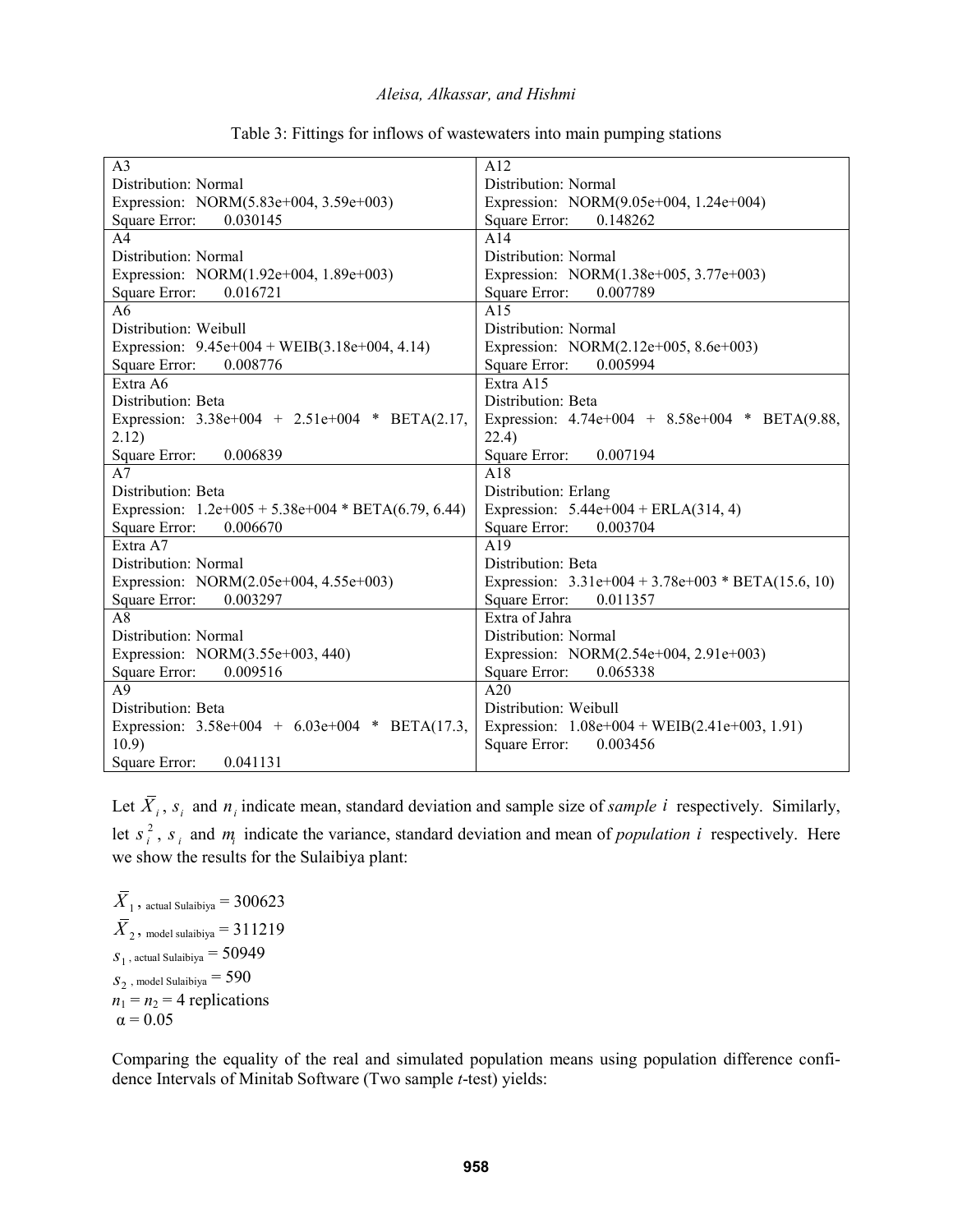| A <sub>3</sub>                                        | A12                                                  |  |
|-------------------------------------------------------|------------------------------------------------------|--|
| Distribution: Normal                                  | Distribution: Normal                                 |  |
| Expression: NORM(5.83e+004, 3.59e+003)                | Expression: NORM(9.05e+004, 1.24e+004)               |  |
| Square Error:<br>0.030145                             | Square Error:<br>0.148262                            |  |
| A <sub>4</sub>                                        | A14                                                  |  |
| Distribution: Normal                                  | Distribution: Normal                                 |  |
| Expression: NORM(1.92e+004, 1.89e+003)                | Expression: NORM(1.38e+005, 3.77e+003)               |  |
| Square Error:<br>0.016721                             | Square Error:<br>0.007789                            |  |
| A6                                                    | A15                                                  |  |
| Distribution: Weibull                                 | Distribution: Normal                                 |  |
| Expression: $9.45e+004 + WEIB(3.18e+004, 4.14)$       | Expression: NORM(2.12e+005, 8.6e+003)                |  |
| Square Error:<br>0.008776                             | Square Error:<br>0.005994                            |  |
| Extra A6                                              | Extra A15                                            |  |
| Distribution: Beta                                    | Distribution: Beta                                   |  |
| Expression: $3.38e+004 + 2.51e+004 * BETA(2.17,$      | Expression: 4.74e+004 + 8.58e+004 * BETA(9.88,       |  |
| 2.12)                                                 | 22.4)                                                |  |
| 0.006839<br>Square Error:                             | 0.007194<br>Square Error:                            |  |
| A7                                                    | A18                                                  |  |
| Distribution: Beta                                    | Distribution: Erlang                                 |  |
| Expression: $1.2e+005 + 5.38e+004 * BETA(6.79, 6.44)$ | Expression: $5.44e+004 + ERLA(314, 4)$               |  |
| Square Error:<br>0.006670                             | Square Error:<br>0.003704                            |  |
| Extra A7                                              | $\overline{A19}$                                     |  |
| Distribution: Normal                                  | Distribution: Beta                                   |  |
| Expression: NORM(2.05e+004, 4.55e+003)                | Expression: $3.31e+004 + 3.78e+003 * BETA(15.6, 10)$ |  |
| 0.003297<br>Square Error:                             | Square Error:<br>0.011357                            |  |
| A8                                                    | Extra of Jahra                                       |  |
| Distribution: Normal                                  | Distribution: Normal                                 |  |
| Expression: NORM(3.55e+003, 440)                      | Expression: NORM(2.54e+004, 2.91e+003)               |  |
| 0.009516<br>Square Error:                             | Square Error:<br>0.065338                            |  |
| A <sub>9</sub>                                        | A20                                                  |  |
| Distribution: Beta                                    | Distribution: Weibull                                |  |
| Expression: $3.58e+004 + 6.03e+004 * BETA(17.3)$      | Expression: $1.08e+004 + WEIB(2.41e+003, 1.91)$      |  |
| 10.9)                                                 | Square Error:<br>0.003456                            |  |
| Square Error:<br>0.041131                             |                                                      |  |

Table 3: Fittings for inflows of wastewaters into main pumping stations

Let  $\overline{X}_i$ ,  $s_i$  and  $n_i$  indicate mean, standard deviation and sample size of *sample i* respectively. Similarly, let  $s_i^2$  $s_i^2$ ,  $s_i$  and  $m_i$  indicate the variance, standard deviation and mean of *population i* respectively. Here we show the results for the Sulaibiya plant:

 $X_1$ , actual Sulaibiya =  $300623$  $X_{2}$ , model sulaibiya =  $311219$  $s_{\text{\tiny 1}}$  , actual Sulaibiya  $=$   $50949$  $s_{2}$  , model Sulaibiya  $=590$  $n_1 = n_2 = 4$  replications  $\alpha$  = 0.05

Comparing the equality of the real and simulated population means using population difference confidence Intervals of Minitab Software (Two sample *t*-test) yields: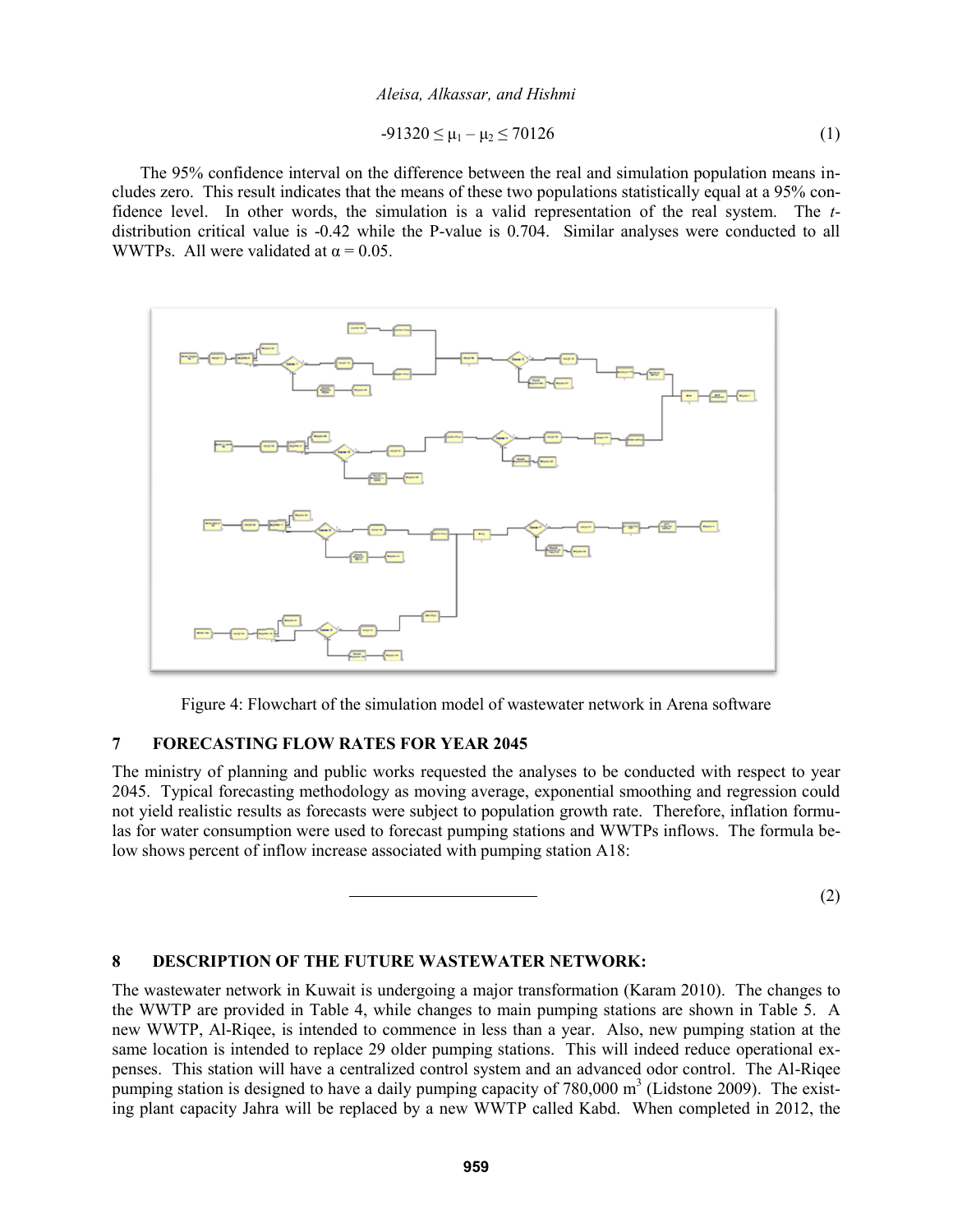$$
-91320 \le \mu_1 - \mu_2 \le 70126 \tag{1}
$$

The 95% confidence interval on the difference between the real and simulation population means includes zero. This result indicates that the means of these two populations statistically equal at a 95% confidence level. In other words, the simulation is a valid representation of the real system. The *t*distribution critical value is -0.42 while the P-value is 0.704. Similar analyses were conducted to all WWTPs. All were validated at  $\alpha = 0.05$ .



Figure 4: Flowchart of the simulation model of wastewater network in Arena software

## **7 FORECASTING FLOW RATES FOR YEAR 2045**

The ministry of planning and public works requested the analyses to be conducted with respect to year 2045. Typical forecasting methodology as moving average, exponential smoothing and regression could not yield realistic results as forecasts were subject to population growth rate. Therefore, inflation formulas for water consumption were used to forecast pumping stations and WWTPs inflows. The formula below shows percent of inflow increase associated with pumping station A18:

(2)

#### **8 DESCRIPTION OF THE FUTURE WASTEWATER NETWORK:**

The wastewater network in Kuwait is undergoing a major transformation (Karam 2010). The changes to the WWTP are provided in Table 4, while changes to main pumping stations are shown in Table 5. A new WWTP, Al-Riqee, is intended to commence in less than a year. Also, new pumping station at the same location is intended to replace 29 older pumping stations. This will indeed reduce operational expenses. This station will have a centralized control system and an advanced odor control. The Al-Riqee pumping station is designed to have a daily pumping capacity of  $780,000 \text{ m}^3$  (Lidstone 2009). The existing plant capacity Jahra will be replaced by a new WWTP called Kabd. When completed in 2012, the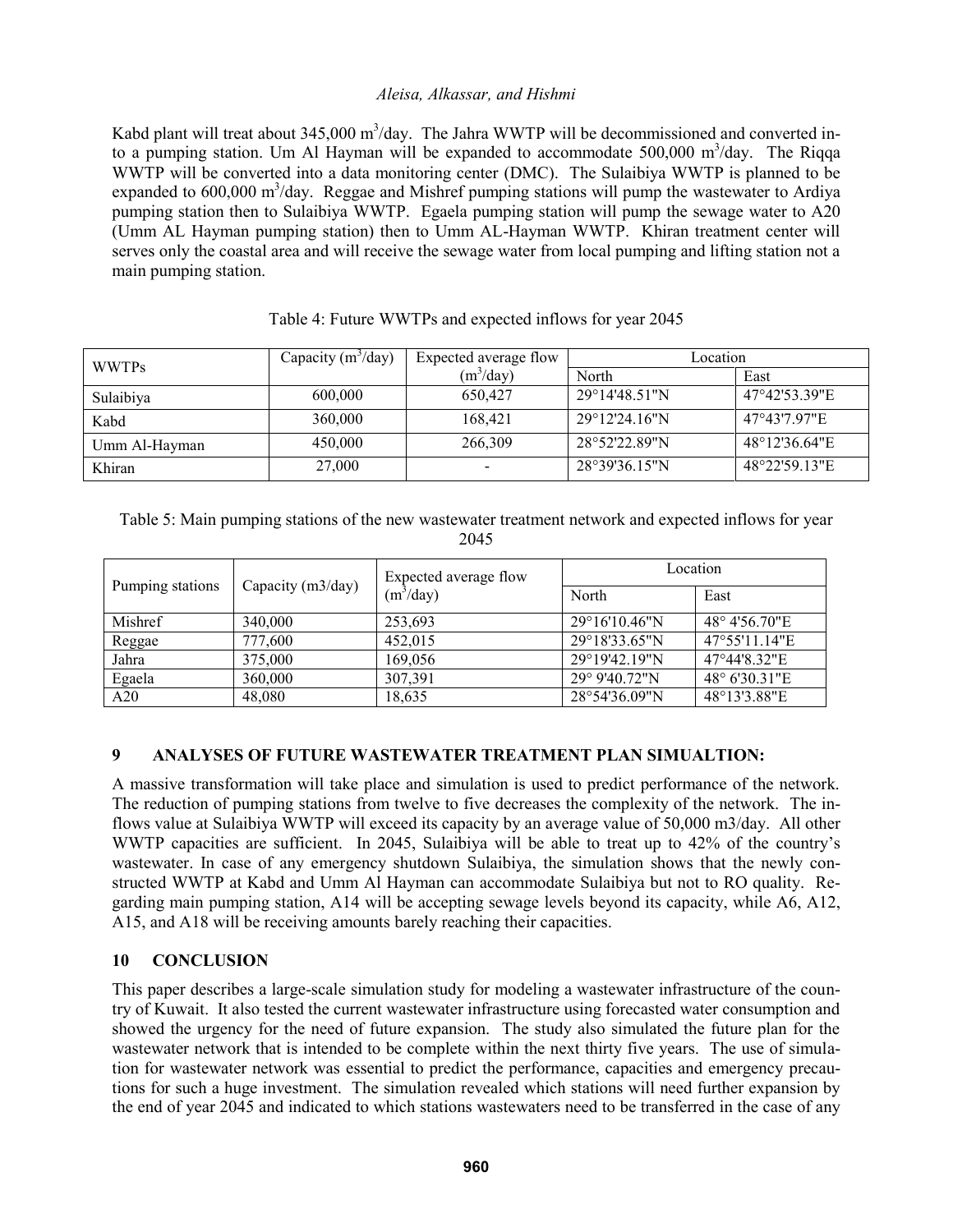Kabd plant will treat about  $345,000 \text{ m}^3/\text{day}$ . The Jahra WWTP will be decommissioned and converted into a pumping station. Um Al Hayman will be expanded to accommodate  $500,000 \text{ m}^3/\text{day}$ . The Riqqa WWTP will be converted into a data monitoring center (DMC). The Sulaibiya WWTP is planned to be expanded to 600,000 m<sup>3</sup>/day. Reggae and Mishref pumping stations will pump the wastewater to Ardiya pumping station then to Sulaibiya WWTP. Egaela pumping station will pump the sewage water to A20 (Umm AL Hayman pumping station) then to Umm AL-Hayman WWTP. Khiran treatment center will serves only the coastal area and will receive the sewage water from local pumping and lifting station not a main pumping station.

| <b>WWTPs</b>  | Capacity $(m^3/day)$ | Expected average flow | Location                |               |
|---------------|----------------------|-----------------------|-------------------------|---------------|
|               |                      | $(m^3$ /day)          | North                   | East          |
| Sulaibiya     | 600,000              | 650.427               | $29^{\circ}14'48.51''N$ | 47°42'53.39"E |
| Kabd          | 360,000              | 168,421               | $29^{\circ}12'24.16''N$ | 47°43'7.97"E  |
| Umm Al-Hayman | 450,000              | 266,309               | 28°52'22.89"N           | 48°12'36.64"E |
| Khiran        | 27,000               |                       | 28°39'36.15"N           | 48°22'59.13"E |

# Table 4: Future WWTPs and expected inflows for year 2045

Table 5: Main pumping stations of the new wastewater treatment network and expected inflows for year 2045

| Pumping stations | Capacity (m3/day) | Expected average flow<br>(m <sup>3</sup> /day) | Location                |               |
|------------------|-------------------|------------------------------------------------|-------------------------|---------------|
|                  |                   |                                                | North                   | East          |
| Mishref          | 340,000           | 253,693                                        | $29^{\circ}16'10.46''N$ | 48° 4'56.70"E |
| Reggae           | 777,600           | 452,015                                        | 29°18'33.65"N           | 47°55'11.14"E |
| Jahra            | 375,000           | 169,056                                        | 29°19'42.19"N           | 47°44'8.32"E  |
| Egaela           | 360,000           | 307,391                                        | $29^{\circ}$ 9'40.72"N  | 48° 6'30.31"E |
| A20              | 48,080            | 18,635                                         | 28°54'36.09"N           | 48°13′3.88″E  |

## **9 ANALYSES OF FUTURE WASTEWATER TREATMENT PLAN SIMUALTION:**

A massive transformation will take place and simulation is used to predict performance of the network. The reduction of pumping stations from twelve to five decreases the complexity of the network. The inflows value at Sulaibiya WWTP will exceed its capacity by an average value of 50,000 m3/day. All other WWTP capacities are sufficient. In 2045, Sulaibiya will be able to treat up to 42% of the country's wastewater. In case of any emergency shutdown Sulaibiya, the simulation shows that the newly constructed WWTP at Kabd and Umm Al Hayman can accommodate Sulaibiya but not to RO quality. Regarding main pumping station, A14 will be accepting sewage levels beyond its capacity, while A6, A12, A15, and A18 will be receiving amounts barely reaching their capacities.

## **10 CONCLUSION**

This paper describes a large-scale simulation study for modeling a wastewater infrastructure of the country of Kuwait. It also tested the current wastewater infrastructure using forecasted water consumption and showed the urgency for the need of future expansion. The study also simulated the future plan for the wastewater network that is intended to be complete within the next thirty five years. The use of simulation for wastewater network was essential to predict the performance, capacities and emergency precautions for such a huge investment. The simulation revealed which stations will need further expansion by the end of year 2045 and indicated to which stations wastewaters need to be transferred in the case of any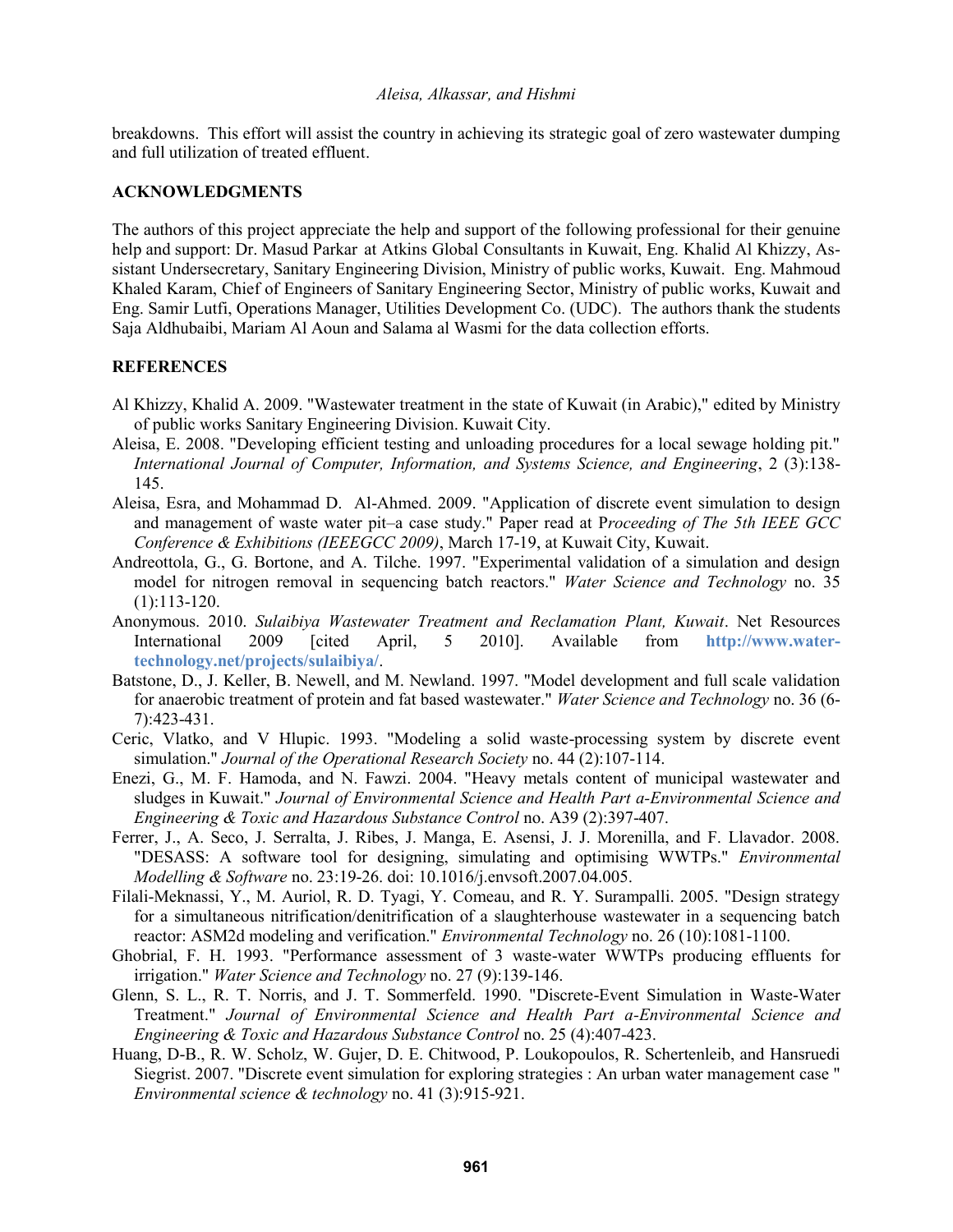breakdowns. This effort will assist the country in achieving its strategic goal of zero wastewater dumping and full utilization of treated effluent.

## **ACKNOWLEDGMENTS**

The authors of this project appreciate the help and support of the following professional for their genuine help and support: Dr. Masud Parkar at Atkins Global Consultants in Kuwait, Eng. Khalid Al Khizzy, Assistant Undersecretary, Sanitary Engineering Division, Ministry of public works, Kuwait. Eng. Mahmoud Khaled Karam, Chief of Engineers of Sanitary Engineering Sector, Ministry of public works, Kuwait and Eng. Samir Lutfi, Operations Manager, Utilities Development Co. (UDC). The authors thank the students Saja Aldhubaibi, Mariam Al Aoun and Salama al Wasmi for the data collection efforts.

### **REFERENCES**

- Al Khizzy, Khalid A. 2009. "Wastewater treatment in the state of Kuwait (in Arabic)," edited by Ministry of public works Sanitary Engineering Division. Kuwait City.
- Aleisa, E. 2008. "Developing efficient testing and unloading procedures for a local sewage holding pit." *International Journal of Computer, Information, and Systems Science, and Engineering*, 2 (3):138- 145.
- Aleisa, Esra, and Mohammad D. Al-Ahmed. 2009. "Application of discrete event simulation to design and management of waste water pit–a case study." Paper read at P*roceeding of The 5th IEEE GCC Conference & Exhibitions (IEEEGCC 2009)*, March 17-19, at Kuwait City, Kuwait.
- Andreottola, G., G. Bortone, and A. Tilche. 1997. "Experimental validation of a simulation and design model for nitrogen removal in sequencing batch reactors." *Water Science and Technology* no. 35 (1):113-120.
- Anonymous. 2010. *Sulaibiya Wastewater Treatment and Reclamation Plant, Kuwait*. Net Resources International 2009 [cited April, 5 2010]. Available from **http://www.watertechnology.net/projects/sulaibiya/**.
- Batstone, D., J. Keller, B. Newell, and M. Newland. 1997. "Model development and full scale validation for anaerobic treatment of protein and fat based wastewater." *Water Science and Technology* no. 36 (6- 7):423-431.
- Ceric, Vlatko, and V Hlupic. 1993. "Modeling a solid waste-processing system by discrete event simulation." *Journal of the Operational Research Society* no. 44 (2):107-114.
- Enezi, G., M. F. Hamoda, and N. Fawzi. 2004. "Heavy metals content of municipal wastewater and sludges in Kuwait." *Journal of Environmental Science and Health Part a-Environmental Science and Engineering & Toxic and Hazardous Substance Control* no. A39 (2):397-407.
- Ferrer, J., A. Seco, J. Serralta, J. Ribes, J. Manga, E. Asensi, J. J. Morenilla, and F. Llavador. 2008. "DESASS: A software tool for designing, simulating and optimising WWTPs." *Environmental Modelling & Software* no. 23:19-26. doi: 10.1016/j.envsoft.2007.04.005.
- Filali-Meknassi, Y., M. Auriol, R. D. Tyagi, Y. Comeau, and R. Y. Surampalli. 2005. "Design strategy for a simultaneous nitrification/denitrification of a slaughterhouse wastewater in a sequencing batch reactor: ASM2d modeling and verification." *Environmental Technology* no. 26 (10):1081-1100.
- Ghobrial, F. H. 1993. "Performance assessment of 3 waste-water WWTPs producing effluents for irrigation." *Water Science and Technology* no. 27 (9):139-146.
- Glenn, S. L., R. T. Norris, and J. T. Sommerfeld. 1990. "Discrete-Event Simulation in Waste-Water Treatment." *Journal of Environmental Science and Health Part a-Environmental Science and Engineering & Toxic and Hazardous Substance Control* no. 25 (4):407-423.
- Huang, D-B., R. W. Scholz, W. Gujer, D. E. Chitwood, P. Loukopoulos, R. Schertenleib, and Hansruedi Siegrist. 2007. "Discrete event simulation for exploring strategies : An urban water management case " *Environmental science & technology* no. 41 (3):915-921.